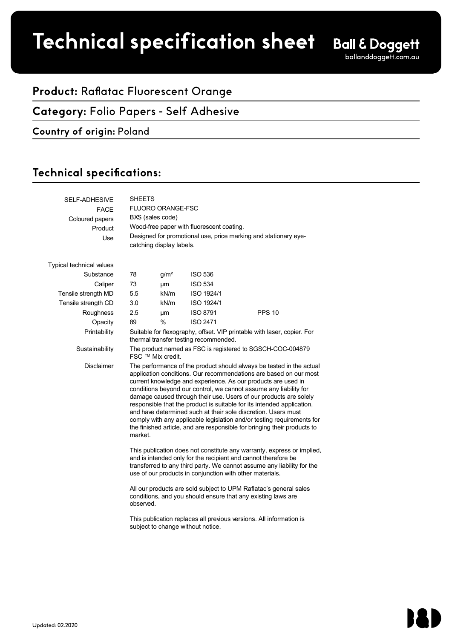# **Product spec sheet Technical specification sheet**

## **Product:** Raflatac Fluorescent Orange

## **Category:** Folio Papers - Self Adhesive

#### **Country of origin:** Poland

## Technical specifications:

| <b>SELF-ADHESIVE</b><br><b>FACE</b> | <b>SHEETS</b><br>FLUORO ORANGE-FSC                                                                                                                                                                                                                                                                                                                                                                                                                                                                                                                                                                                                                               |                  |                 |               |  |  |
|-------------------------------------|------------------------------------------------------------------------------------------------------------------------------------------------------------------------------------------------------------------------------------------------------------------------------------------------------------------------------------------------------------------------------------------------------------------------------------------------------------------------------------------------------------------------------------------------------------------------------------------------------------------------------------------------------------------|------------------|-----------------|---------------|--|--|
| Coloured papers                     | BXS (sales code)                                                                                                                                                                                                                                                                                                                                                                                                                                                                                                                                                                                                                                                 |                  |                 |               |  |  |
| Product                             | Wood-free paper with fluorescent coating.                                                                                                                                                                                                                                                                                                                                                                                                                                                                                                                                                                                                                        |                  |                 |               |  |  |
| Use                                 | Designed for promotional use, price marking and stationary eye-<br>catching display labels.                                                                                                                                                                                                                                                                                                                                                                                                                                                                                                                                                                      |                  |                 |               |  |  |
| Typical technical values            |                                                                                                                                                                                                                                                                                                                                                                                                                                                                                                                                                                                                                                                                  |                  |                 |               |  |  |
| Substance                           | 78                                                                                                                                                                                                                                                                                                                                                                                                                                                                                                                                                                                                                                                               | g/m <sup>2</sup> | <b>ISO 536</b>  |               |  |  |
| Caliper                             | 73                                                                                                                                                                                                                                                                                                                                                                                                                                                                                                                                                                                                                                                               | μm               | <b>ISO 534</b>  |               |  |  |
| Tensile strength MD                 | 5.5                                                                                                                                                                                                                                                                                                                                                                                                                                                                                                                                                                                                                                                              | kN/m             | ISO 1924/1      |               |  |  |
| Tensile strength CD                 | 3.0                                                                                                                                                                                                                                                                                                                                                                                                                                                                                                                                                                                                                                                              | kN/m             | ISO 1924/1      |               |  |  |
| Roughness                           | 2.5                                                                                                                                                                                                                                                                                                                                                                                                                                                                                                                                                                                                                                                              | μm               | <b>ISO 8791</b> | <b>PPS 10</b> |  |  |
| Opacity                             | 89                                                                                                                                                                                                                                                                                                                                                                                                                                                                                                                                                                                                                                                               | $\%$             | <b>ISO 2471</b> |               |  |  |
| Printability                        | Suitable for flexography, offset. VIP printable with laser, copier. For<br>thermal transfer testing recommended.                                                                                                                                                                                                                                                                                                                                                                                                                                                                                                                                                 |                  |                 |               |  |  |
| Sustainability                      | The product named as FSC is registered to SGSCH-COC-004879<br>FSC ™ Mix credit.                                                                                                                                                                                                                                                                                                                                                                                                                                                                                                                                                                                  |                  |                 |               |  |  |
| <b>Disclaimer</b>                   | The performance of the product should always be tested in the actual<br>application conditions. Our recommendations are based on our most<br>current knowledge and experience. As our products are used in<br>conditions beyond our control, we cannot assume any liability for<br>damage caused through their use. Users of our products are solely<br>responsible that the product is suitable for its intended application,<br>and have determined such at their sole discretion. Users must<br>comply with any applicable legislation and/or testing requirements for<br>the finished article, and are responsible for bringing their products to<br>market. |                  |                 |               |  |  |
|                                     | This publication does not constitute any warranty, express or implied,<br>and is intended only for the recipient and cannot therefore be<br>transferred to any third party. We cannot assume any liability for the<br>use of our products in conjunction with other materials.                                                                                                                                                                                                                                                                                                                                                                                   |                  |                 |               |  |  |
|                                     | All our products are sold subject to UPM Raflatac's general sales<br>conditions, and you should ensure that any existing laws are<br>observed.                                                                                                                                                                                                                                                                                                                                                                                                                                                                                                                   |                  |                 |               |  |  |
|                                     | This publication replaces all previous versions. All information is<br>subject to change without notice.                                                                                                                                                                                                                                                                                                                                                                                                                                                                                                                                                         |                  |                 |               |  |  |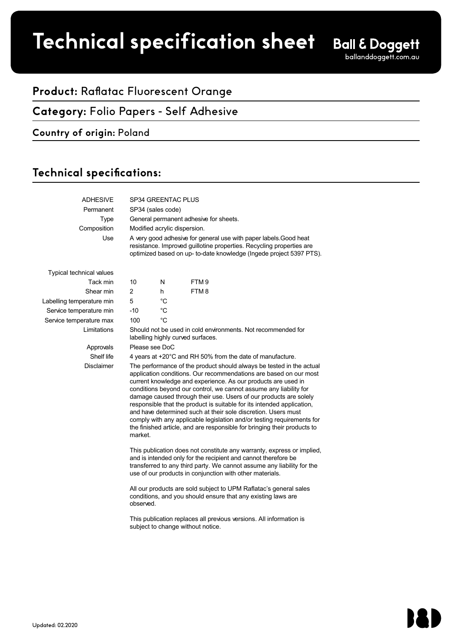# **Product spec sheet Technical specification sheet**

# **Product:** Raflatac Fluorescent Orange

### **Category:** Folio Papers - Self Adhesive

#### **Country of origin:** Poland

## Technical specifications:

| <b>ADHESIVE</b>                 | SP34 GREENTAC PLUS                                                                                                                                                                                                                                                                                                                                                                                                                                                                                                                                                                                                                                               |             |                  |  |  |
|---------------------------------|------------------------------------------------------------------------------------------------------------------------------------------------------------------------------------------------------------------------------------------------------------------------------------------------------------------------------------------------------------------------------------------------------------------------------------------------------------------------------------------------------------------------------------------------------------------------------------------------------------------------------------------------------------------|-------------|------------------|--|--|
| Permanent                       | SP34 (sales code)                                                                                                                                                                                                                                                                                                                                                                                                                                                                                                                                                                                                                                                |             |                  |  |  |
| Type                            | General permanent adhesive for sheets.                                                                                                                                                                                                                                                                                                                                                                                                                                                                                                                                                                                                                           |             |                  |  |  |
| Composition                     | Modified acrylic dispersion.                                                                                                                                                                                                                                                                                                                                                                                                                                                                                                                                                                                                                                     |             |                  |  |  |
| Use                             | A very good adhesive for general use with paper labels. Good heat<br>resistance. Improved guillotine properties. Recycling properties are<br>optimized based on up- to-date knowledge (Ingede project 5397 PTS).                                                                                                                                                                                                                                                                                                                                                                                                                                                 |             |                  |  |  |
| <b>Typical technical values</b> |                                                                                                                                                                                                                                                                                                                                                                                                                                                                                                                                                                                                                                                                  |             |                  |  |  |
| Tack min                        | 10                                                                                                                                                                                                                                                                                                                                                                                                                                                                                                                                                                                                                                                               | N           | FTM <sub>9</sub> |  |  |
| Shear min                       | $\overline{\mathbf{c}}$                                                                                                                                                                                                                                                                                                                                                                                                                                                                                                                                                                                                                                          | h           | FTM8             |  |  |
| Labelling temperature min       | 5                                                                                                                                                                                                                                                                                                                                                                                                                                                                                                                                                                                                                                                                | $^{\circ}C$ |                  |  |  |
| Service temperature min         | $-10$                                                                                                                                                                                                                                                                                                                                                                                                                                                                                                                                                                                                                                                            | °C          |                  |  |  |
| Service temperature max         | 100                                                                                                                                                                                                                                                                                                                                                                                                                                                                                                                                                                                                                                                              | °C          |                  |  |  |
| Limitations                     | Should not be used in cold environments. Not recommended for<br>labelling highly curved surfaces.                                                                                                                                                                                                                                                                                                                                                                                                                                                                                                                                                                |             |                  |  |  |
| Approvals                       | Please see DoC                                                                                                                                                                                                                                                                                                                                                                                                                                                                                                                                                                                                                                                   |             |                  |  |  |
| Shelf life                      | 4 years at +20°C and RH 50% from the date of manufacture.                                                                                                                                                                                                                                                                                                                                                                                                                                                                                                                                                                                                        |             |                  |  |  |
| <b>Disclaimer</b>               | The performance of the product should always be tested in the actual<br>application conditions. Our recommendations are based on our most<br>current knowledge and experience. As our products are used in<br>conditions beyond our control, we cannot assume any liability for<br>damage caused through their use. Users of our products are solely<br>responsible that the product is suitable for its intended application.<br>and have determined such at their sole discretion. Users must<br>comply with any applicable legislation and/or testing requirements for<br>the finished article, and are responsible for bringing their products to<br>market. |             |                  |  |  |
|                                 | This publication does not constitute any warranty, express or implied,<br>and is intended only for the recipient and cannot therefore be<br>transferred to any third party. We cannot assume any liability for the<br>use of our products in conjunction with other materials.                                                                                                                                                                                                                                                                                                                                                                                   |             |                  |  |  |
|                                 | All our products are sold subject to UPM Raflatac's general sales<br>conditions, and you should ensure that any existing laws are<br>observed.                                                                                                                                                                                                                                                                                                                                                                                                                                                                                                                   |             |                  |  |  |
|                                 | This publication replaces all previous versions. All information is<br>subject to change without notice.                                                                                                                                                                                                                                                                                                                                                                                                                                                                                                                                                         |             |                  |  |  |